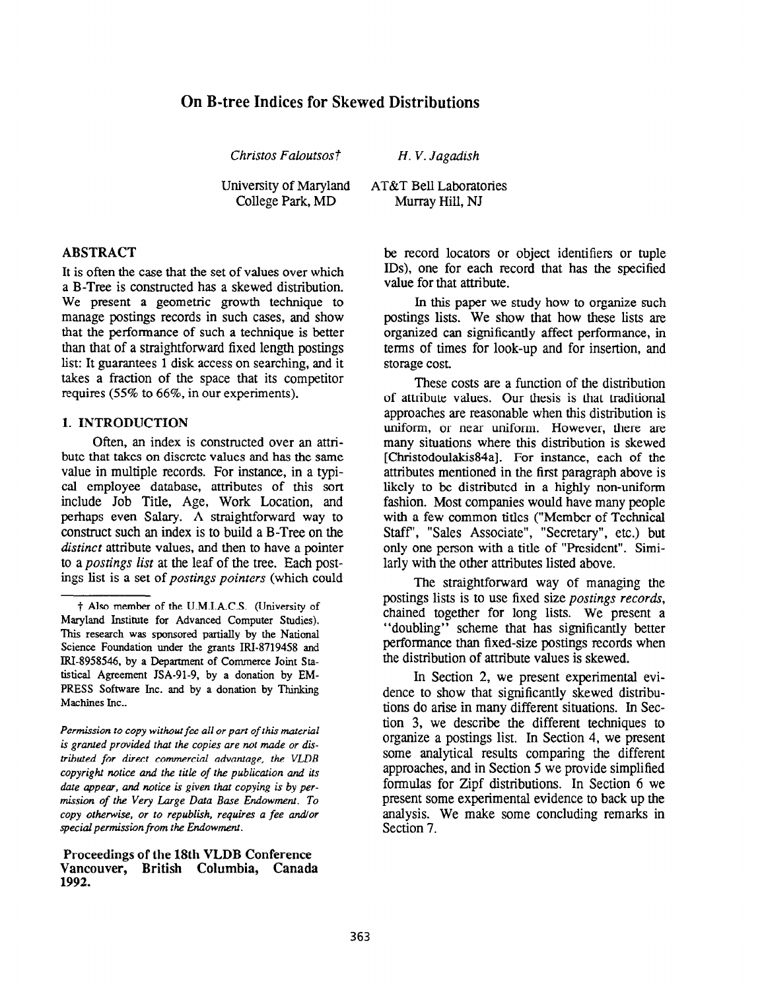# On B-tree Indices for Skewed Distributions

Christos Faloutsost

University of Maryland College Park, MD

### ABSTRACT

It is often the case that the set of values over which a B-Tree is constructed has a skewed distribution. We present a geometric growth technique to manage postings records in such cases, and show that the performance of such a technique is better than that of a straightforward fixed length postings list: It guarantees 1 disk access on searching, and it takes a fraction of the space that its competitor requires (55% to 66%, in our experiments).

#### 1. INTRODUCTION

Often, an index is constructed over an attribute that takes on discrete values and has the same value in multiple records. For instance, in a typical employee database, attributes of this sort include Job Title, Age, Work Location, and perhaps even Salary. A straightforward way to construct such an index is to build a B-Tree on the distinct attribute values, and then to have a pointer to a postings list at the leaf of the tree. Each postings list is a set of postings pointers (which could

Permission to copy without fee all or part of this material is granted provided that the copies are not made or distributed for direct commercial advantage, the VLDB copyright notice and the title of the publication and its date appear, and notice is given that copying is by permission of the Very Large Data Base Endowment. To copy otherwise, or to republish, requires a fee and/or special permission from the Endowment.

#### Proceedings of the 18th VLDB Conference Vancouver, British Columbia, Canada 1992.

H. V. Jagadish

AT&T Bell Laboratories Murray Hill, NJ

> be record locators or object identifiers or tuple IDS), one for each record that has the specified value for that attribute.

> In this paper we study how to organize such postings lists. We show that how these lists are organized can significantly affect performance, in terms of times for look-up and for insertion, and storage cost.

> These costs are a function of the distribution of attribute values. Our thesis is that traditional approaches are reasonable when this distribution is uniform, or near uniform. However, there are many situations where this distribution is skewed [Christodoulakis84a]. For instance, each of the attributes mentioned in the first paragraph above is likely to be distributed in a highly non-uniform fashion. Most companies would have many people with a few common titles ("Member of Technical Staff', "Sales Associate", "Secretary", etc.) but only one person with a title of "President". Similarly with the other attributes listed above.

> The straightforward way of managing the postings lists is to use fixed size postings records, chained together for long lists. We present a "doubling" scheme that has significantly better performance than fixed-size postings records when the distribution of attribute values is skewed.

> In Section 2, we present experimental evidence to show that significantly skewed distributions do arise in many different situations. In Section 3, we describe the different techniques to organize a postings list. In Section 4, we present some analytical results comparing the different approaches, and in Section 5 we provide simplified formulas for Zipf distributions. In Section 6 we present some experimental evidence to back up the analysis. We make some concluding remarks in Section 7.

f Also member of the U.M.I.A.C.S. (University of Maryland Institute for Advanced Computer Studies). This research was sponsored partially by the National Science Foundation under the grants IRI-8719458 and IN-8958546, by a Department of Commerce Joint Statistical Agreement JSA-91-9, by a donation by EM-PRESS Software Inc. and by a donation by Thinking Machines Inc..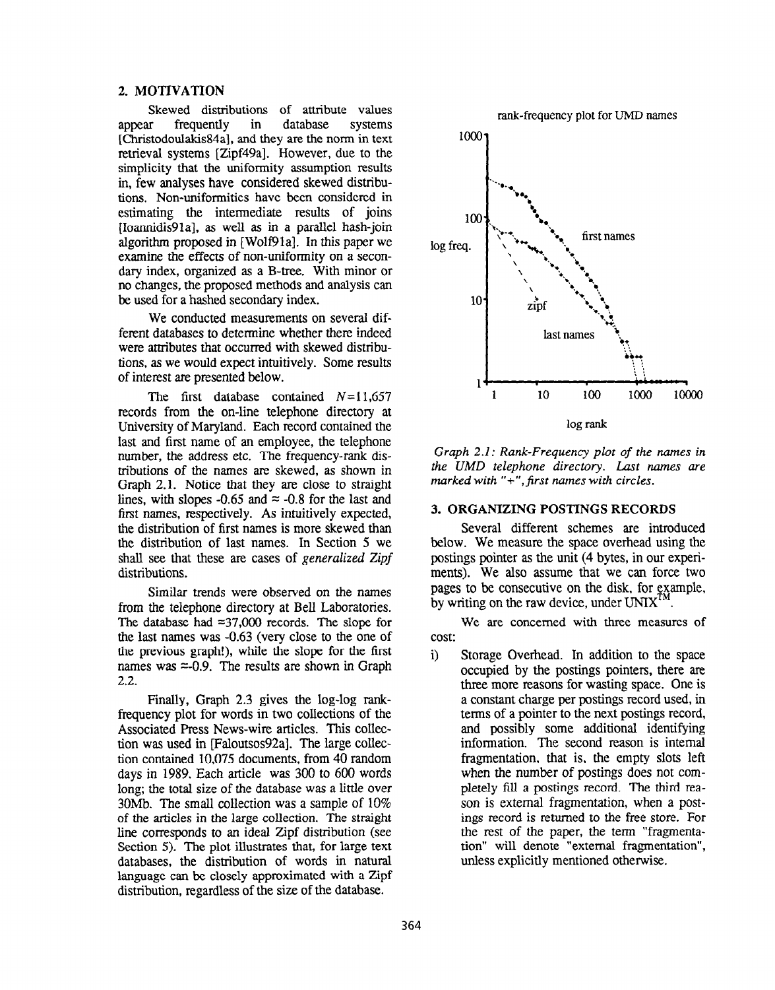#### 2. MOTIVATION

Skewed distributions of attribute values<br>of the database systems appear frequently in database systems [Christodoulakis84a], and they are the norm in text retrieval systems [Zipf49a]. However, due to the simplicity that the uniformity assumption results in, few analyses have considered skewed distributions. Non-uniformities have been considered in estimating the intermediate results of joins [Ioannidis91a], as well as in a parallel hash-join algorithm proposed in [ WolfPla]. In this paper we examine the effects of non-uniformity on a secondary index, organized as a B-tree, With minor or no changes, the proposed methods and analysis can be used for a hashed secondary index.

We conducted measurements on several different databases to determine whether there indeed were attributes that occurred with skewed distributions, as we would expect intuitively. Some results of interest are presented below.

The first database contained  $N=11,657$ records from the on-line telephone directory at University of Maryland. Each record contained the last and first name of an employee, the telephone number, the address etc. The frequency-rank distributions of the names are skewed, as shown in Graph 2.1. Notice that they are close to straight lines, with slopes -0.65 and  $\approx$  -0.8 for the last and first names, respectively. As intuitively expected, the distribution of first names is more skewed than the distribution of last names. In Section 5 we shall see that these are cases of generalized Zipf distributions.

Similar trends were observed on the names from the telephone directory at Bell Laboratories. The database had  $\approx$ 37,000 records. The slope for the last names was -0.63 (very close to the one of the previous graph!), while the slope for the first names was  $=0.9$ . The results are shown in Graph 2.2.

Finally, Graph 2.3 gives the log-log rankfrequency plot for words in two collections of the Associated Press News-wire articles. This collection was used in [Faloutsos92a]. The large collection contained 10,075 documents, from 40 random days in 1989. Each article was 300 to 600 words long; the total size of the database was a little over 30Mb. The small collection was a sample of 10% of the articles in the large collection. The straight line corresponds to an ideal Zipf distribution (see Section 5). The plot illustrates that, for large text databases, the distribution of words in natural language can be closely approximated with a Zipf distribution, regardless of the size of the database.



Graph 2.1: Rank-Frequency plot of the names in the UMD telephone directory. Last names are marked with  $" +"$ , first names with circles.

#### 3. ORGANIZING POSTINGS RECORDS

Several different schemes are introduced below. We measure the space overhead using the postings pointer as the unit (4 bytes, in our experiments). We also assume that we can force two pages to be consecutive on the disk, for example, by writing on the raw device, under  $UNIX<sup>T</sup>$ .

We are concerned with three measures of cost:

i) Storage Overhead. In addition to the space occupied by the postings pointers, there are three more reasons for wasting space. One is a constant charge per postings record used, in terms of a pointer to the next postings record, and possibly some additional identifying information. The second reason is internal fragmentation, that is, the empty slots left when the number of postings does not completely fill a postings record. The third reason is external fragmentation, when a postings record is returned to the free store. For the rest of the paper, the term "fragmentation" will denote "external fragmentation", unless explicitly mentioned otherwise.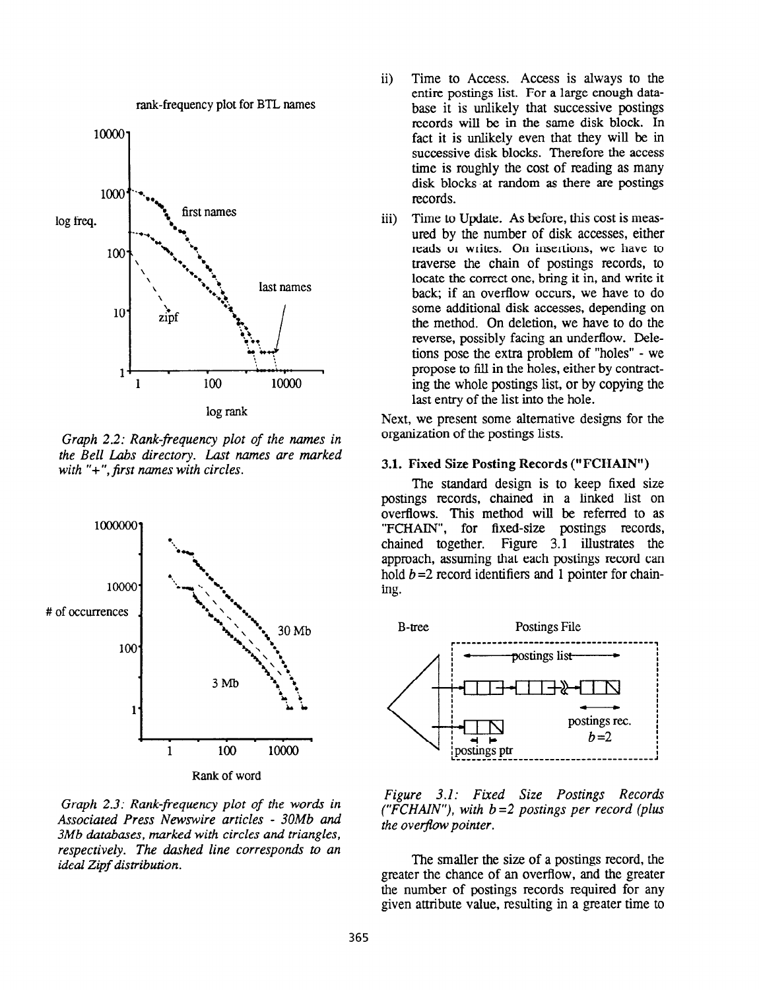

log rank

rank-frequency plot for BTL names

Graph 2.2: Rank-frequency plot of the names in the Bell Labs directory. Last names are marked with  $"+"$ , first names with circles.



Graph 2.3: Rank-frequency plot of the words in Associated Press Newswire articles - 30Mb and 3Mb databases, marked with circles and triangles, respectively. The dashed line corresponds to an ideal Zipf distribution.

- ii) Time to Access. Access is always to the entire postings list. For a large enough database it is unlikely that successive postings records will be in the same disk block. In fact it is unlikely even that they will be in successive disk blocks. Therefore the access time is roughly the cost of reading as many disk blocks at random as there are postings records.
- iii) Time to Update. As before, this cost is measured by the number of disk accesses, either reads or writes. On insertions, we have to traverse the chain of postings records, to locate the correct one, bring it in, and write it back; if an overflow occurs, we have to do some additional disk accesses, depending on the method. On deletion, we have to do the reverse, possibly facing an underflow. Deletions pose the extra problem of "holes" - we propose to fill in the holes, either by contracting the whole postings list, or by copying the last entry of the list into the hole.

Next, we present some alternative designs for the organization of the postings lists.

#### 3.1. Fixed Size Posting Records ("FCHAIN")

The standard design is to keep fixed size postings records, chained in a linked list on overflows. This method will be referred to as "FCHAIN", for fixed-size postings records, chained together. Figure 3.1 illustrates the approach, assuming that each postings record can hold  $b = 2$  record identifiers and 1 pointer for chaining.



Figure 3.1: Fixed Size Postings Records ("FCHAIN"), with  $b=2$  postings per record (plus the overflow pointer.

The smaller the size of a postings record, the greater the chance of an overflow, and the greater the number of postings records required for any given attribute value, resulting in a greater time to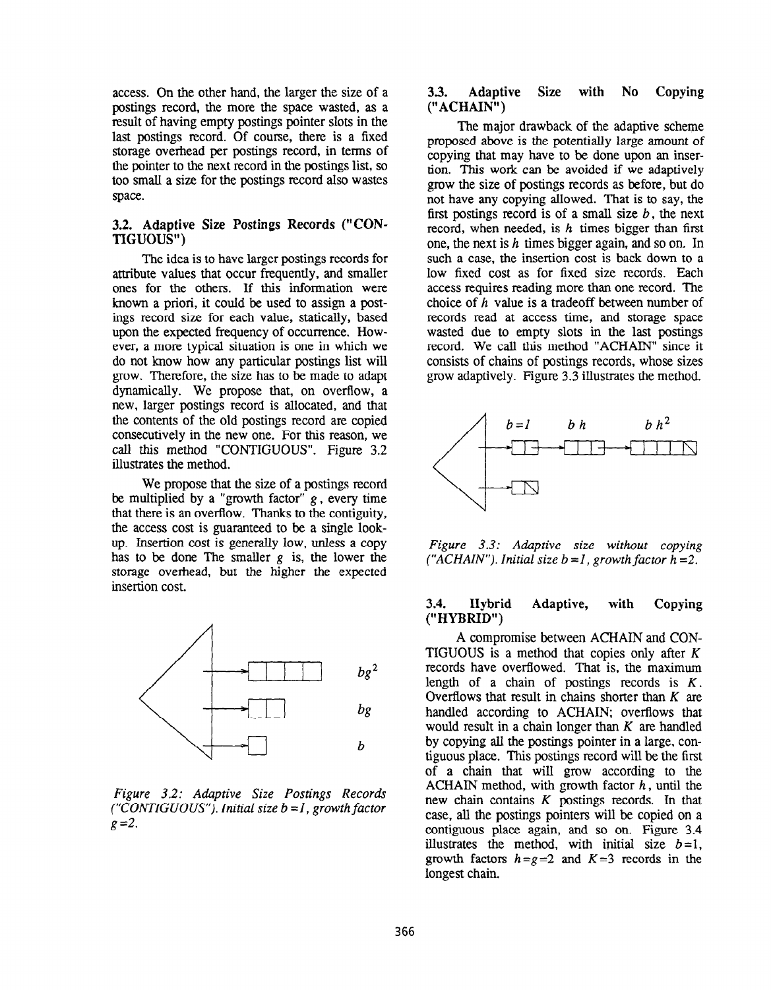access. On the other hand, the larger the size of a postings record, the more the space wasted, as a result of having empty postings pointer slots in the last postings record. Of course, there is a fixed storage overhead per postings record, in terms of the pointer to the next record in the postings list, so too small a size for the postings record also wastes space.

#### 3.2. Adaptive Size Postings Records ("CON-TIGUOUS")

The idea is to have larger postings records for attribute values that occur frequently, and smaller ones for the others. If this information were known a priori, it could be used to assign a postings record size for each value, statically, based upon the expected frequency of occurrence. However, a more typical situation is one in which we do not know how any particular postings list will grow. Therefore, the size has to be made to adapt dynamically. We propose that, on overflow, a new, larger postings record is allocated, and that the contents of the old postings record are copied consecutively in the new one. For this reason, we call this method "CONTIGUOUS". Figure 3.2 illustrates the method.

We propose that the size of a postings record be multiplied by a "growth factor"  $g$ , every time that there is an overflow. Thanks to the contiguity, the access cost is guaranteed to be a single lookup. Insertion cost is generally low, unless a copy has to be done The smaller  $g$  is, the lower the storage overhead, but the higher the expected insertion cost.



Figure 3.2: Adaptive Size Postings Records  $('CONTIGUOUS'')$ . Initial size  $b = I$ , growth factor  $g = 2$ .

#### $3.3.$ Adaptive Size with No Copying ("ACHAIN")

The major drawback of the adaptive scheme proposed above is the potentially large amount of copying that may have to be done upon an insertion. This work can be avoided if we adaptively grow the size of postings records as before, but do not have any copying allowed. That is to say, the first postings record is of a small size  $b$ , the next record, when needed, is  $h$  times bigger than first one, the next is  $h$  times bigger again, and so on. In such a case, the insertion cost is back down to a low fixed cost as for fixed size records. Each access requires reading more than one record. The choice of  $h$  value is a tradeoff between number of records read at access time, and storage space wasted due to empty slots in the last postings record. We call this method "ACHAIN" since it consists of chains of postings records, whose sizes grow adaptively. Figure 3.3 illustrates the method.



Figure 3.3: Adaptive size without copying ("ACHAIN"). Initial size  $b = 1$ , growth factor  $h = 2$ .

#### Hybrid  $3.4.$ Adaptive, with Copying  $(''HYBRID'')$

A compromise between ACHAIN and CON-TIGUOUS is a method that copies only after  $K$ records have overflowed. That is, the maximum length of a chain of postings records is  $K$ . Overflows that result in chains shorter than  $K$  are handled according to ACHAIN; overflows that would result in a chain longer than  $K$  are handled by copying all the postings pointer in a large, contiguous place. This postings record will be the first of a chain that will grow according to the ACHAIN method, with growth factor  $h$ , until the new chain contains  $K$  postings records. In that case, all the postings pointers will be copied on a contiguous place again, and so on. Figure 3.4 illustrates the method, with initial size  $b=1$ , growth factors  $h = g = 2$  and  $K = 3$  records in the longest chain.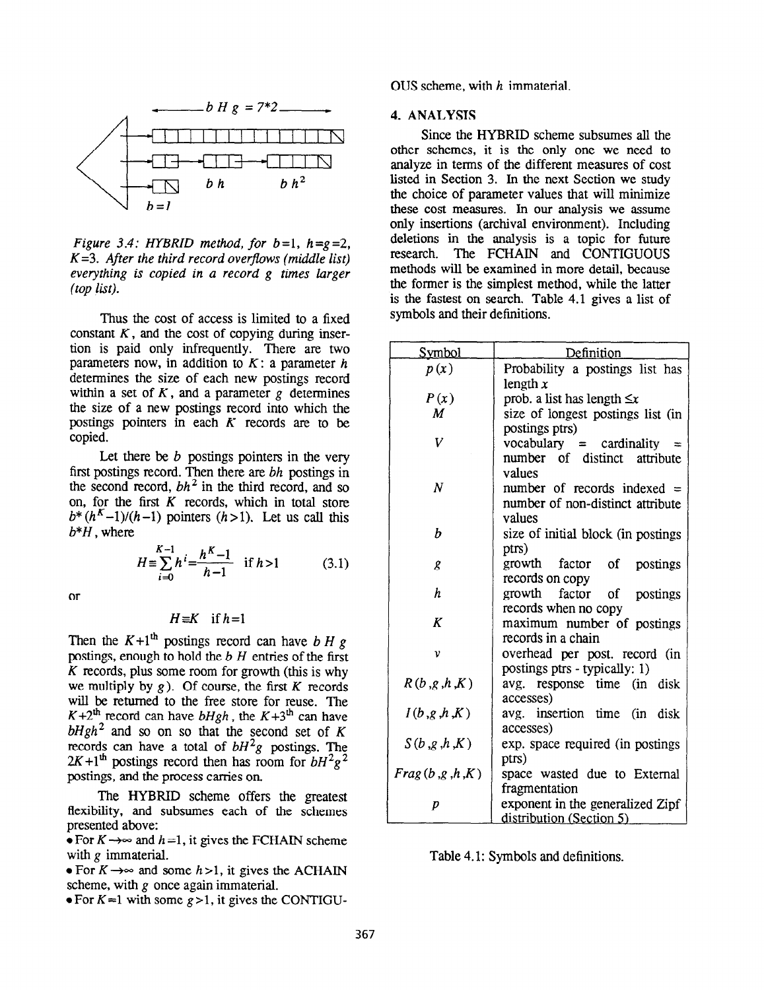

Figure 3.4: HYBRID method, for  $b=1$ ,  $h=2=2$ ,  $K=3$ . After the third record overflows (middle list) everything is copied in a record g times larger (top list).

Thus the cost of access is limited to a fixed constant  $K$ , and the cost of copying during insertion is paid only infrequently. There are two parameters now, in addition to  $K: a$  parameter h determines the size of each new postings record within a set of  $K$ , and a parameter  $g$  determines the size of a new postings record into which the postings pointers in each  $K$  records are to be copied.

Let there be  $b$  postings pointers in the very first postings record. Then there are bh postings in the second record,  $bh^2$  in the third record, and so on, for the first  $K$  records, which in total store  $b^*(h^K-1)/(h-1)$  pointers  $(h > 1)$ . Let us call this  $b*H$ , where

$$
H = \sum_{i=0}^{K-1} h^i = \frac{h^K - 1}{h - 1} \quad \text{if } h > 1 \tag{3.1}
$$

or

#### $H \equiv K$  if  $h=1$

Then the  $K+1<sup>th</sup>$  postings record can have b H g postings, enough to hold the  $b$  H entries of the first  $K$  records, plus some room for growth (this is why we multiply by  $g$ ). Of course, the first K records will be returned to the free store for reuse. The  $K+2<sup>th</sup>$  record can have  $bHgh$ , the  $K+3<sup>th</sup>$  can have  $bHgh^2$  and so on so that the second set of K records can have a total of  $bH^2g$  postings. The  $2K+1<sup>th</sup>$  postings record then has room for  $bH^2g^2$ postings, and the process carries on.

The HYBRID scheme offers the greatest flexibility, and subsumes each of the schemes presented above:

 $\bullet$  For  $K \rightarrow \infty$  and  $h = 1$ , it gives the FCHAIN scheme with g immaterial.

• For  $K \rightarrow \infty$  and some  $h > 1$ , it gives the ACHAIN scheme, with  $g$  once again immaterial.

 $\bullet$  For K = l with some g > 1, it gives the CONTIGU-

OUS scheme, with h immaterial.

#### 4. ANALYSIS

Since the HYBRID scheme subsumes all the other schemes, it is the only one we need to analyze in terms of the different measures of cost listed in Section 3. In the next Section we study the choice of parameter values that will minimize these cost measures. In our analysis we assume only insertions (archival environment). Including deletions in the analysis is a topic for future research. The FCHAIN and CONTIGUOUS methods wiIl be examined in more detail, because the former is the simplest method, while the latter is the fastest on search. Table 4.1 gives a list of symbols and their definitions.

| <u>Symbol</u>  | Definition                          |  |
|----------------|-------------------------------------|--|
| p(x)           | Probability a postings list has     |  |
|                | length $x$                          |  |
| P(x)           | prob. a list has length $\leq x$    |  |
| M              | size of longest postings list (in   |  |
|                | postings ptrs)                      |  |
| V              | $vocabulary = cardinality$          |  |
|                | number of distinct attribute        |  |
|                | values                              |  |
| $\overline{N}$ | number of records indexed $=$       |  |
|                | number of non-distinct attribute    |  |
|                | values                              |  |
| b              | size of initial block (in postings) |  |
|                | ptrs)                               |  |
| g              | growth factor of<br>postings        |  |
|                | records on copy                     |  |
| h              | growth<br>factor<br>of<br>postings  |  |
|                | records when no copy                |  |
| K              | maximum number of postings          |  |
|                | records in a chain                  |  |
| ν              | overhead per post. record (in       |  |
|                | postings ptrs - typically: 1)       |  |
| R(b,g,h,K)     | avg. response time (in disk         |  |
|                | accesses)                           |  |
| I(b,g,h,K)     | avg. insertion time (in<br>disk     |  |
|                | accesses)                           |  |
| S(b,g,h,K)     | exp. space required (in postings)   |  |
|                | ptrs)                               |  |
| Frag(b,g,h,K)  | space wasted due to External        |  |
|                | fragmentation                       |  |
| p              | exponent in the generalized Zipf    |  |
|                | distribution (Section 5)            |  |

Table 4.1: Symbols and definitions.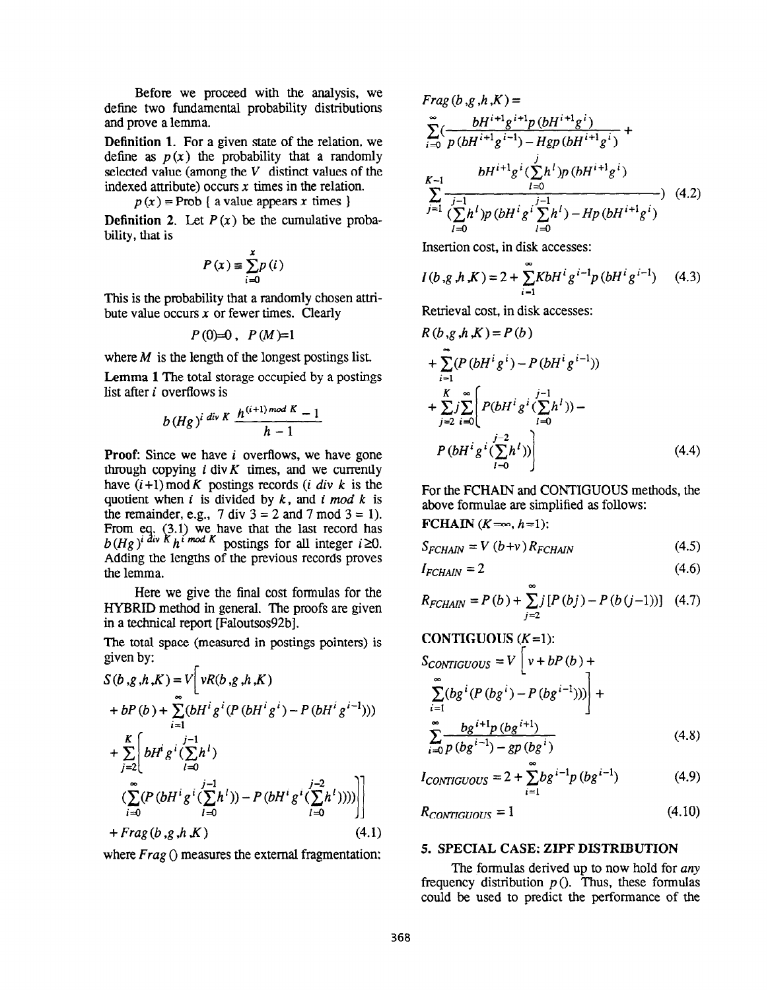Before we proceed with the analysis, we define two fundamental probability distributions and prove a lemma.

Definition 1. For a given state of the relation, we define as  $p(x)$  the probability that a randomly selected value (among the  $V$  distinct values of the indexed attribute) occurs  $x$  times in the relation.

 $p(x)$  = Prob { a value appears x times }

**Definition 2.** Let  $P(x)$  be the cumulative probability, that is

$$
P(x) \equiv \sum_{i=0}^{x} p(i)
$$

This is the probability that a randomly chosen attribute value occurs  $x$  or fewer times. Clearly

$$
P(0)=0\,,\ P(M)=1
$$

where  $M$  is the length of the longest postings list.

Lemma 1 The total storage occupied by a postings list after *i* overflows is

$$
b (Hg)^{i \ div K} \frac{h^{(i+1) \ mod K} - 1}{h-1}
$$

**Proof:** Since we have  $i$  overflows, we have gone through copying  $i$  div  $K$  times, and we currently have  $(i+1) \mod K$  postings records (*i div k* is the quotient when  $i$  is divided by  $k$ , and  $i$  mod  $k$  is the remainder, e.g.,  $7 \div 3 = 2$  and  $7 \mod 3 = 1$ . 3.1) we have that the last record has  $b(Hg)^i$  div K  $h^i$  mod K postings for all integer  $i \ge 0$ . Adding the lengths of the previous records proves the lemma.

Here we give the final cost formulas for the HYBRID method in general. The proofs are given in a technical report [Faloutsos92b].

The total space (measured in postings pointers) is given by:

$$
S(b,g,h,K) = V\left[vR(b,g,h,K)\n+ bP(b) + \sum_{i=1}^{\infty} (bH^i g^i (P(bH^i g^i) - P(bH^i g^{i-1})))\n+ \sum_{j=2}^K \left(bH^i g^i (\sum_{l=0}^{j-1} h^l)\n\right.\n\left. (\sum_{i=0}^{\infty} (P(bH^i g^i (\sum_{l=0}^{j-1} h^l)) - P(bH^i g^i (\sum_{l=0}^{j-2} h^l))))\n\right) + Frag(b,g,h,K)
$$
\n(4.1)

where  $Frag()$  measures the external fragmentation:

$$
Frag (b, g, h, K) =
$$
\n
$$
\sum_{i=0}^{\infty} \left( \frac{bH^{i+1}g^{i+1}p(bH^{i+1}g^i)}{p(bH^{i+1}g^{i-1}) - Hgp(bH^{i+1}g^i)} \right)
$$
\n
$$
K^{-1} \frac{bH^{i+1}g^{i}(\sum_{l=0}^{j}h^l)p(bH^{i+1}g^i)}{(\sum_{l=0}^{j-1}h^l)p(bH^{i}g^{i}(\sum_{l=0}^{j-1}h^l) - Hp(bH^{i+1}g^i))}
$$
\n(4.2)

Insertion cost, in disk accesses:

$$
I(b,g,h,K) = 2 + \sum_{i=1}^{\infty} K b H^{i} g^{i-1} p (b H^{i} g^{i-1})
$$
 (4.3)

Retrieval cost, in disk accesses:

 $\text{FCHAIN } (K=\infty, h=1):$ 

$$
R(b,g,h,K) = P(b)
$$
  
+ 
$$
\sum_{i=1}^{\infty} (P(bH^{i}g^{i}) - P(bH^{i}g^{i-1}))
$$
  
+ 
$$
\sum_{j=2}^{K} \sum_{i=0}^{\infty} \left[ P(bH^{i}g^{i}(\sum_{l=0}^{j-1}h^{l})) - P(bH^{i}g^{i}(\sum_{l=0}^{j-2}h^{l})) \right]
$$
(4.4)

For the FCHAIN and CONTIGUOUS methods, the above formulae are simplified as follows:

$$
S_{FCHAIN} = V (b+v) R_{FCHAIN}
$$
 (4.5)

$$
I = 2 \tag{4.6}
$$

$$
I_{FCHAIN} = 2 \tag{4.6}
$$

$$
R_{FCHAIN} = P(b) + \sum_{j=2} j [P(bj) - P(b(j-1))] \quad (4.7)
$$

**CONTIGUOUS** (*K*=1):  
\n*S*<sub>CONTIGUOUS</sub> = *V* [*v* + *bP* (*b*) +  
\n
$$
\sum_{i=1}^{\infty} (bg^{i} (P (bg^{i}) - P (bg^{i-1})))
$$
\n+  
\n
$$
\sum_{i=0}^{\infty} \frac{bg^{i+1}p (bg^{i+1})}{p (bg^{i-1}) - gp (bg^{i})}
$$
\n(4.8)

$$
I_{CONTIGUOUS} = 2 + \sum_{i=1}^{n} b g^{i-1} p (b g^{i-1})
$$
 (4.9)

$$
R_{CONTIGUOUS} = 1 \tag{4.10}
$$

#### 5. SPECIAL CASE: ZIPF DISTRIBUTION

The formulas derived up to now hold for *any* frequency distribution  $p()$ . Thus, these formulas could be used to predict the performance of the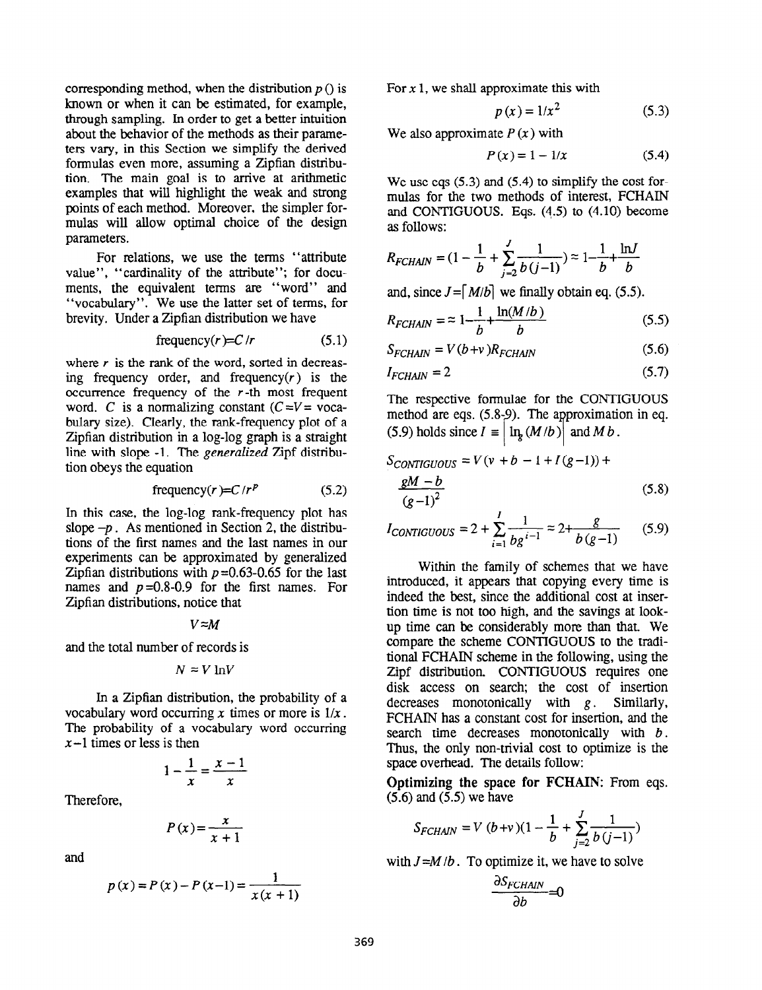corresponding method, when the distribution  $p()$  is known or when it can be estimated, for example, through sampling. In order to get a better intuition about the behavior of the methods as their parameters vary, in this Section we simplify the derived formulas even more, assuming a Zipfian distribution. The main goal is to arrive at arithmetic examples that will highlight the weak and strong points of each method. Moreover, the simpler formulas will allow optimal choice of the design parameters.

For relations, we use the terms "attribute value", "cardinality of the attribute"; for documents, the equivalent terms are "word" and "vocabulary". We use the latter set of terms, for brevity. Under a Zipfian distribution we have

frequency(
$$
r
$$
)=C/r (5.1)

where  $r$  is the rank of the word, sorted in decreasing frequency order, and frequency $(r)$  is the occurrence frequency of the  $r$ -th most frequent word. C is a normalizing constant  $(C=V=$  vocabulary size). Clearly, the rank-frequency plot of a Zipfian distribution in a log-log graph is a straight line with slope -1. The *generalized* Zipf distribution obeys the equation

frequency(
$$
r
$$
)=C/ $r^p$  (5.2)

In this case, the log-log rank-frequency plot has slope  $-p$ . As mentioned in Section 2, the distributions of the first names and the last names in our experiments can be approximated by generalized Zipfian distributions with  $p=0.63-0.65$  for the last names and  $p=0.8-0.9$  for the first names. For Zipfian distributions, notice that

$$
V \approx M
$$

and the total number of records is

$$
N \approx V \ln V
$$

In a Zipfian distribution, the probability of a vocabulary word occurring x times or more is  $1/x$ . The probability of a vocabulary word occurring  $x-1$  times or less is then

$$
1 - \frac{1}{x} = \frac{x - 1}{x}
$$

Therefore,

$$
P(x) = \frac{x}{x+1}
$$

and

$$
p(x) = P(x) - P(x-1) = \frac{1}{x(x + 1)}
$$

For  $x$  1, we shall approximate this with

$$
p(x) = 1/x^2 \tag{5.3}
$$

We also approximate  $P(x)$  with

$$
P(x) = 1 - 1/x
$$
 (5.4)

We use eqs  $(5.3)$  and  $(5.4)$  to simplify the cost formulas for the two methods of interest, FCHAIN and CONTIGUOUS. Eqs. (4.5) to (4.10) become as follows:

$$
R_{FCHAIN} = (1 - \frac{1}{b} + \sum_{j=2}^{J} \frac{1}{b(j-1)}) \approx 1 - \frac{1}{b} + \frac{\ln J}{b}
$$

and, since  $J = [M/b]$  we finally obtain eq. (5.5).

$$
R_{FCHAIN} = \approx 1 - \frac{1}{b} + \frac{\ln(M/b)}{b}
$$
 (5.5)

$$
S_{FCHAIN} = V(b+v)R_{FCHAIN}
$$
 (5.6)

$$
I_{FCHAIN} = 2 \tag{5.7}
$$

The respective formulae for the CONTIGUOUS method are eqs.  $(5.8-9)$ . The approximation in eq. (5.9) holds since  $I = |\ln_{g}(M/b)|$  and M b .

$$
S_{CONTIGUOUS} = V(v + b - 1 + I(g-1)) + \n \frac{gM - b}{(g-1)^2}
$$
\n(5.8)

$$
I_{CONTIGUOUS} = 2 + \sum_{i=1}^{I} \frac{1}{bg^{i-1}} \approx 2 + \frac{g}{b(g-1)}
$$
 (5.9)

Within the family of schemes that we have introduced, it appears that copying every time is indeed the best, since the additional cost at insertion time is not too high, and the savings at lookup time can be considerably more than that. We compare the scheme CONTIGUOUS to the traditional FCHAIN scheme in the following, using the Zipf distribution. CONTIGUOUS requires one disk access on search; the cost of insertion decreases monotonically with  $g$ . Similarly, FCHAIN has a constant cost for insertion, and the search time decreases monotonically with  $b$ . Thus, the only non-trivial cost to optimize is the space overhead. The details follow:

Optimizing the space for FCHAIN: From eqs. (5.6) and (5.5) we have

$$
S_{FCHAIN} = V (b+v)(1 - \frac{1}{b} + \sum_{j=2}^{J} \frac{1}{b(j-1)})
$$

with  $J=M/b$ . To optimize it, we have to solve

$$
\frac{\partial S_{FCHAIN}}{\partial b} = 0
$$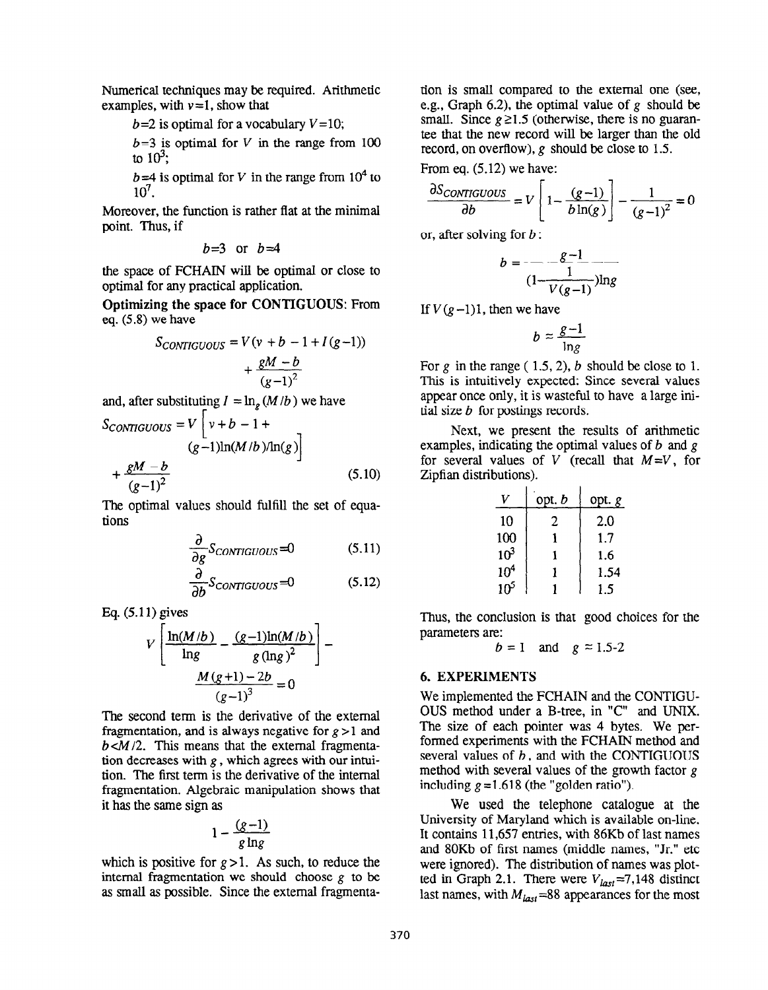Numerical techniques may be required. Arithmetic examples, with  $v=1$ , show that

 $b=2$  is optimal for a vocabulary  $V=10$ ;

 $b=3$  is optimal for V in the range from 100 to  $10^3$ :

 $b=4$  is optimal for V in the range from 10<sup>4</sup> to 107.

Moreover, the function is rather flat at the minimal point. Thus, if

$$
b=3
$$
 or  $b=4$ 

the space of FCHAIN will be optimal or close to optimal for any practical application.

Optimizing the space for CONTIGUOUS: From eq. (5.8) we have

$$
S_{CONTIGUOUS} = V(v + b - 1 + I(g-1))
$$

$$
+ \frac{gM - b}{(g-1)^2}
$$

and, after substituting  $I = \ln_{g} (M/b)$  we have

$$
S_{CONTIGUOUS} = V \left[ v + b - 1 + \frac{gM - b}{(g - 1)\ln(M/b)/\ln(g)} \right]
$$
  
+ 
$$
\frac{gM - b}{(g - 1)^2}
$$
 (5.10)

The optimal values should fulfill the set of equations

$$
\frac{\partial}{\partial g}S_{CONTIGUOUS}=0\tag{5.11}
$$

$$
\frac{\partial}{\partial b} S_{CONTIGUOUS} = 0 \tag{5.12}
$$

Eq. (5.11) gives

$$
V\left[\frac{\ln(M/b)}{\ln g} - \frac{(g-1)\ln(M/b)}{g(\ln g)^2}\right] - \frac{M(g+1) - 2b}{(g-1)^3} = 0
$$

The second term is the derivative of the external fragmentation, and is always negative for  $g > 1$  and  $b < M/2$ . This means that the external fragmentation decreases with  $g$ , which agrees with our intuition. The first term is the derivative of the internal fragmentation. Algebraic manipulation shows that it has the same sign as

$$
1-\frac{(g-1)}{g\ln g}
$$

which is positive for  $g > 1$ . As such, to reduce the internal fragmentation we should choose  $g$  to be as small as possible. Since the external fragmentation is smaIl compared to the external one (see, e.g., Graph 6.2), the optimal value of g should be small. Since  $g \ge 1.5$  (otherwise, there is no guarantee that the new record will be larger than the old record, on overflow), g should be close to 1.5.

From eq. (5.12) we have:

$$
\frac{\partial S_{CONTIGUOUS}}{\partial b} = V \left[ 1 - \frac{(g-1)}{b \ln(g)} \right] - \frac{1}{(g-1)^2} = 0
$$

or, after solving for  $b$ :

$$
b = \frac{g-1}{\frac{1}{(1-\frac{1}{V(g-1)})\ln g}}
$$

If  $V(g-1)1$ , then we have

$$
b\approx \frac{g-1}{\ln g}
$$

For g in the range  $(1.5, 2)$ , b should be close to 1. This is intuitively expected: Since several values appear once only, it is wasteful to have a large initial size  $b$  for postings records.

Next, we present the results of arithmetic examples, indicating the optimal values of  $b$  and  $g$ for several values of V (recall that  $M=V$ , for Zipfian distributions).

|                 | opt. <i>b</i> | opt. g |
|-----------------|---------------|--------|
| 10              | 2             | 2.0    |
| 100             |               | 1.7    |
| $10^3$          |               | 1.6    |
| 10 <sup>4</sup> |               | 1.54   |
| $10^5$          |               | 1.5    |

Thus, the conclusion is that good choices for the parameters are:

$$
b = 1 \quad \text{and} \quad g \approx 1.5-2
$$

## 6. EXPERIMENTS

We implemented the FCHAIN and the CONTIGU-OUS method under a B-tree, in "C" and UNIX. The size of each pointer was 4 bytes. We performed experiments with the FCHAIN method and several values of  $b$ , and with the CONTIGUOUS method with several values of the growth factor  $g$ including  $g = 1.618$  (the "golden ratio").

We used the telephone catalogue at the University of Maryland which is available on-line. It contains 11,657 entries, with 86Kb of last names and 80Kb of first names (middle names, "Jr." etc were ignored). The distribution of names was plotted in Graph 2.1. There were  $V_{last}=7,148$  distinct last names, with  $M_{last} = 88$  appearances for the most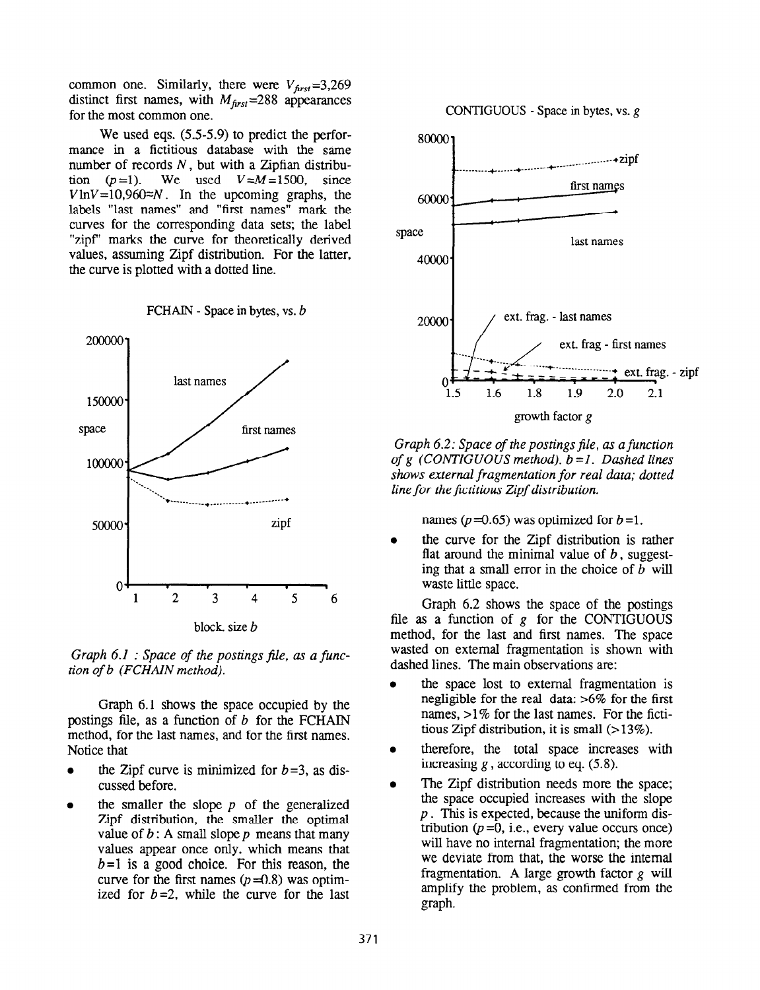common one. Similarly, there were  $V_{\text{first}} = 3,269$ distinct first names, with  $M_{\text{first}}$ =288 appearances for the most common one.

We used eqs. (5.5-5.9) to predict the performance in a fictitious database with the same number of records  $N$ , but with a Zipfian distribution  $(p=1)$ . We used  $V=M=1500$ , since  $V \ln V = 10,960 \approx N$ . In the upcoming graphs, the labels "last names" and "first names" mark the curves for the corresponding data sets; the label "zipf" marks the curve for theoretically derived values, assuming Zipf distribution. For the latter, the curve is plotted with a dotted line.

FCHAIN - Space in bytes, vs. b



Graph  $6.1$  : Space of the postings file, as a function of b (FCHAIN method).

Graph 6.1 shows the space occupied by the postings file, as a function of  $b$  for the FCHAIN method, for the last names, and for the first names. Notice that

- the Zipf curve is minimized for  $b=3$ , as discussed before.
- the smaller the slope  $p$  of the generalized Zipf distribution, the smaller the optimal value of  $b$ : A small slope  $p$  means that many values appear once only, which means that  $b = 1$  is a good choice. For this reason, the curve for the first names  $(p=0.8)$  was optimized for  $b=2$ , while the curve for the last



CONTIGUOUS - Space in bytes, vs.  $g$ 

growth factor g

Graph 6.2: Space of the postings file, as a function of g (CONTIGUOUS method).  $b = 1$ . Dashed lines shows external fragmentation for real data; dotted line for the fictitious Zipf distribution.

names ( $p = 0.65$ ) was optimized for  $b = 1$ .

the curve for the Zipf distribution is rather flat around the minimal value of  $b$ , suggesting that a small error in the choice of  $b$  will waste little space.

Graph 6.2 shows the space of the postings file as a function of  $g$  for the CONTIGUOUS method, for the last and first names. The space wasted on external fragmentation is shown with dashed lines. The main observations are:

- the space lost to external fragmentation is negligible for the real data: >6% for the first names, >1% for the last names. For the fictitious Zipf distribution, it is small  $($ >13%).
- therefore, the total space increases with increasing  $g$ , according to eq. (5.8).
- The Zipf distribution needs more the space; the space occupied increases with the slope  $p$ . This is expected, because the uniform distribution  $(p=0, i.e., every value occurs once)$ will have no internal fragmentation; the more we deviate from that, the worse the internal fragmentation. A large growth factor  $g$  will amplify the problem, as confirmed from the graph.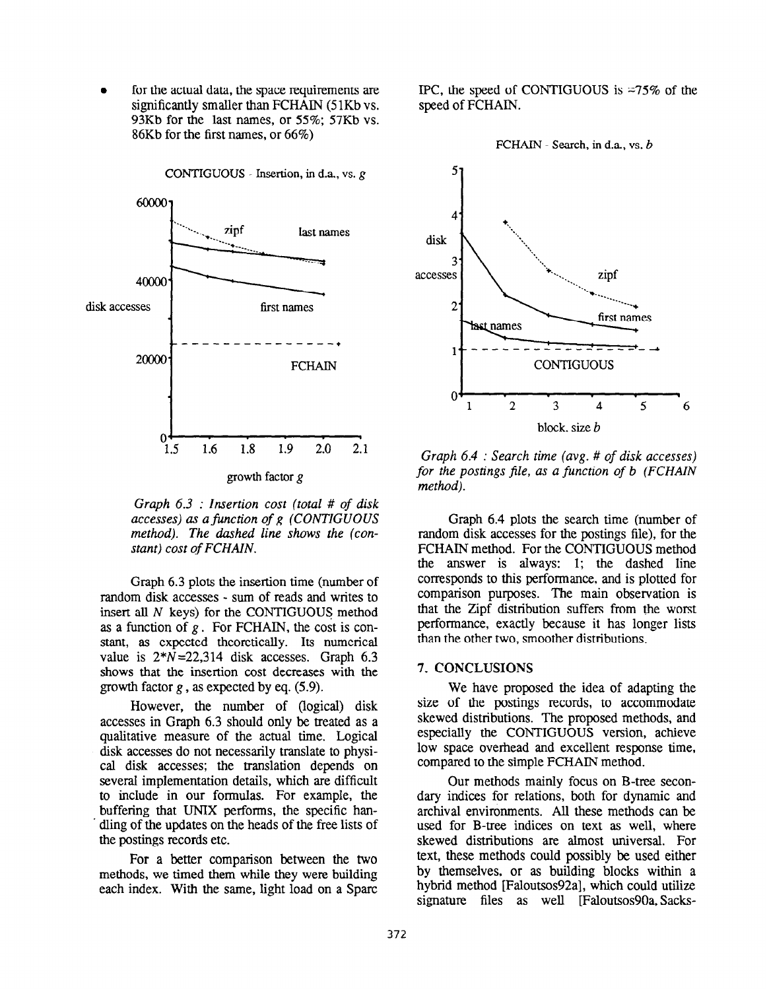for the actual data, the space requirements are significantly smaller than FCHAIN (51Kb vs. 93Kb for the last names, or 55%; 57Kb vs. 86Kb for the first names, or 66%)



CONTIGUOUS - Insertion, in d.a., vs. g

Graph 6.3 : Insertion cost (total # of disk accesses) as a function of g (CONTIGUOUS method). The dashed line shows the (constant) cost of FCHAIN.

Graph 6.3 plots the insertion time (number of random disk accesses - sum of reads and writes to insert all N keys) for the CONTIGUOUS method as a function of  $g$ . For FCHAIN, the cost is constant, as expected theoretically. Its numerical value is  $2*N=22.314$  disk accesses. Graph 6.3 shows that the insertion cost decreases with the growth factor  $g$ , as expected by eq. (5.9).

However, the number of (logical) disk accesses in Graph 6.3 should only be treated as a qualitative measure of the actual time. Logical disk accesses do not necessarily translate to physical disk accesses; the translation depends on several implementation details, which are difficult to include in our formulas. For example, the buffering that UNIX performs, the specific han- . dling of the updates on the heads of the free lists of the postings records etc.

For a better comparison between the two methods, we timed them while they were building each index. With the same, light load on a Spare IPC, the speed of CONTIGUOUS is  $\approx 75\%$  of the speed of FCHAIN.





Graph 6.4 : Search time (avg. # of disk accesses) for the postings file, as a function of b (FCHAIN method).

Graph 6.4 plots the search time (number of random disk accesses for the postings file), for the FCHAIN method. For the CONTIGUOUS method the answer is always: 1; the dashed line corresponds to this performance, and is plotted for comparison purposes. The main observation is that the Zipf distribution suffers from the worst performance, exactly because it has longer lists than the other two, smoother distributions.

#### 7. CONCLUSIONS

We have proposed the idea of adapting the size of the postings records, to accommodate skewed distributions. The proposed methods, and especially the CONTIGUOUS version, achieve low space overhead and excellent response time, compared to the simple FCHAIN method.

Our methods mainly focus on B-tree secondary indices for relations, both for dynamic and archival environments. All these methods can be used for B-tree indices on text as well, where skewed distributions are almost universal. For text, these methods could possibly be used either by themselves, or as building blocks within a hybrid method [Faloutsos92a], which could utilize signature files as well [Faloutsos90a, Sacks-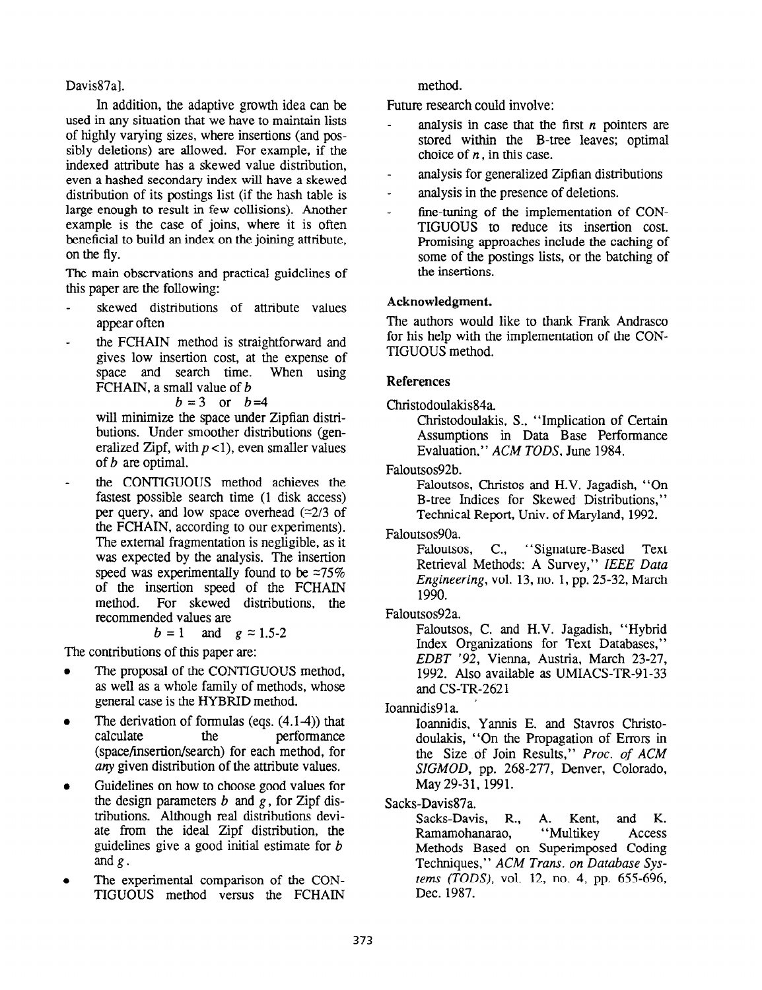## Davis87al.

In addition, the adaptive growth idea can be used in any situation that we have to maintain lists of highly varying sizes, where insertions (and possibly deletions) are allowed. For example, if the indexed attribute has a skewed value distribution, even a hashed secondary index will have a skewed distribution of its postings list (if the hash table is large enough to result in few collisions). Another example is the case of joins, where it is often beneficial to build an index on the joining attribute, on the fly.

The main observations and practical guidelines of this paper are the following:

- skewed distributions of attribute values appear often
- the FCHAIN method is straightforward and gives low insertion cost, at the expense of space and search time. When using space and search time. FCHAIN, a small value of b

## $b=3$  or  $b=4$

will minimize the space under Zipfian distributions. Under smoother distributions (generalized Zipf, with  $p < 1$ ), even smaller values of b are optimal.

the CONTIGUOUS method achieves the fastest possible search time (1 disk access) per query, and low space overhead  $(\approx 2/3)$  of the FCHAIN, according to our experiments). The external fragmentation is negligible, as it was expected by the analysis. The insertion speed was experimentally found to be  $\approx 75\%$ of the insertion speed of the FCHAIN<br>method. For skewed distributions, the For skewed distributions, the recommended values are

$$
b = 1 \quad \text{and} \quad g \approx 1.5-2
$$

The contributions of this paper are:

- The proposal of the CONTIGUOUS method, as well as a whole family of methods, whose general case is the HYBRID method.
- The derivation of formulas (eqs.  $(4.1-4)$ ) that calculate the performance performance (space/insertion/search) for each method, for any given distribution of the attribute values.
- Guidelines on how to choose good values for the design parameters  $b$  and  $g$ , for Zipf distributions. Although real distributions deviate from the ideal Zipf distribution, the guidelines give a good initial estimate for  $b$ and  $g$ .
- The experimental comparison of the CON-TIGUOUS method versus the FCHAIN

method.

Future research could involve:

- analysis in case that the first  $n$  pointers are stored within the B-tree leaves; optimal choice of  $n$ , in this case.
- analysis for generalized Zipfian distributions
- analysis in the presence of deletions.
- fine-tuning of the implementation of CON-TIGUOUS to reduce its insertion cost. Promising approaches include the caching of some of the postings lists, or the batching of the insertions.

## Acknowledgment.

The authors would like to thank Frank Andrasco for his help with the implementation of the CON-TIGUOUS method.

## References

## Christodoulakis84a.

Christodoulakis, S., "Implication of Certain Assumptions in Data Base Performance Evaluation," ACM TODS, June 1984.

Faloutsos92b.

Faloutsos, Christos and H.V. Jagadish, "On B-tree Indices for Skewed Distributions," Technical Report, Univ. of Maryland, 1992.

Faloutsos90a.

Faloutsos, C., "Signature-Based Text Retrieval Methods: A Survey," IEEE Data Engineering, vol. 13, no. 1, pp. 25-32, March 1990.

# Faloutsos92a.

Faloutsos, C. and H.V. Jagadish, "Hybrid Index Organizations for Text Databases," EDBT '92, Vienna, Austria, March 23-27, 1992. Also available as UMIACS-TR-91-33 and CS-TR-2621

Ioannidis91a.

Ioannidis, Yannis E. and Stavros Christodoulakis, "On the Propagation of Errors in the Size of Join Results," Proc. of ACM SIGMOD, pp. 268-277, Denver, Colorado, May 29-31, 1991.

# Sacks-Davis87a.

Sacks-Davis, R., A. Kent, and K. Ramamohanarao, "Multikey Access Methods Based on Superimposed Coding Techniques," ACM Trans. on Database Systems (TODS), vol. 12, no. 4, pp. 655-696, Dec. 1987.